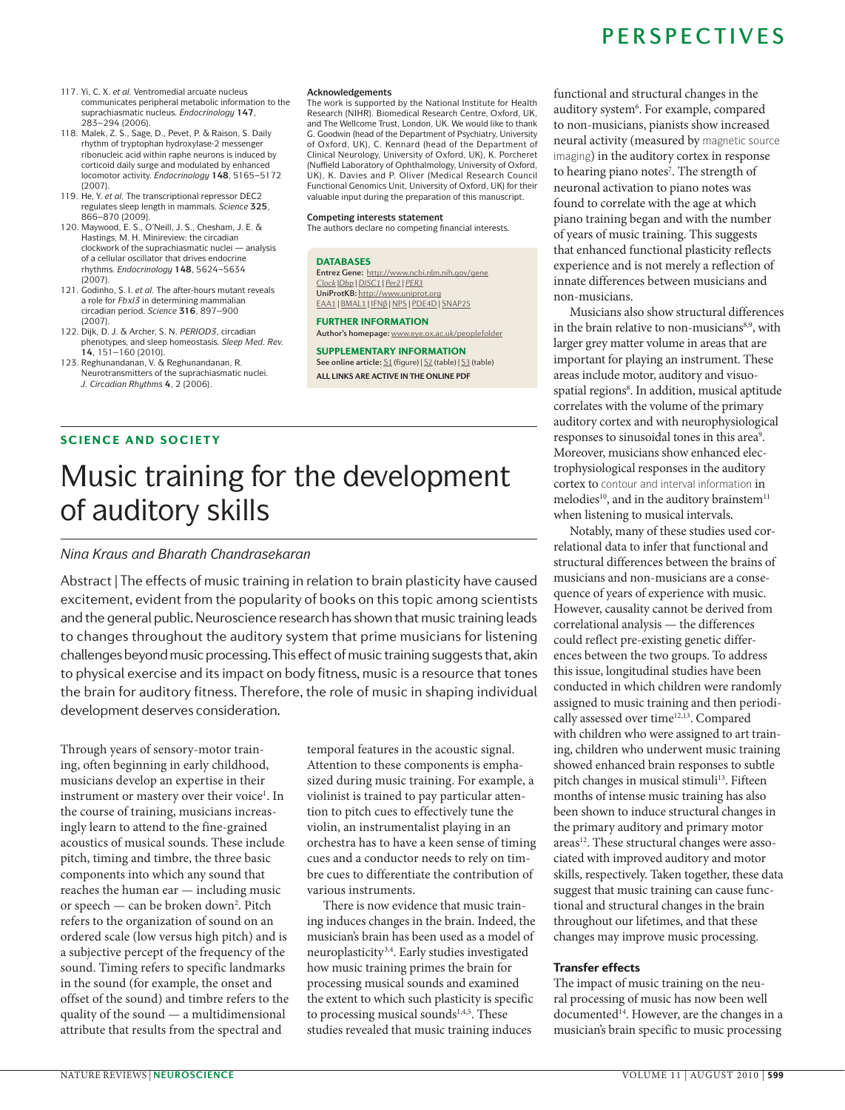- 117. Yi, C. X. *et al.* Ventromedial arcuate nucleus communicates peripheral metabolic information to the suprachiasmatic nucleus. *Endocrinology* **147**, 283–294 (2006).
- 118. Malek, Z. S., Sage, D., Pevet, P. & Raison, S. Daily rhythm of tryptophan hydroxylase‑2 messenger ribonucleic acid within raphe neurons is induced by corticoid daily surge and modulated by enhanced locomotor activity. *Endocrinology* **148**, 5165–5172 (2007).
- 119. He, Y. *et al.* The transcriptional repressor DEC2 regulates sleep length in mammals. *Science* **325**, 866–870 (2009).
- 120. Maywood, E. S., O'Neill, J. S., Chesham, J. E. & Hastings, M. H. Minireview: the circadian clockwork of the suprachiasmatic nuclei — analysis of a cellular oscillator that drives endocrine rhythms. *Endocrinology* **148**, 5624–5634 (2007).
- 121. Godinho, S. I. *et al.* The after-hours mutant reveals a role for *Fbxl3* in determining mammalian circadian period. *Science* **316**, 897–900 (2007).
- 122. Dijk, D. J. & Archer, S. N. *PERIOD3*, circadian phenotypes, and sleep homeostasis. *Sleep Med. Rev.* **14**, 151–160 (2010).
- 123. Reghunandanan, V. & Reghunandanan, R. Neurotransmitters of the suprachiasmatic nuclei. *J. Circadian Rhythms* **4**, 2 (2006).

# SCIENCE AND SOCIETY

# Music training for the development of auditory skills

**Acknowledgements**

**DATABASES** 

**Competing interests statement**

*[Clock](http://www.ncbi.nlm.nih.gov/gene/12753) [|Dbp](http://www.ncbi.nlm.nih.gov/gene/13170) | [DISC1](file:///Volumes/npgmac/Review%20Journals%20Production/Subbed%20articles/Kirsten/Perspectives/Aug%2010/DISC1) | [Per2](http://www.ncbi.nlm.nih.gov/gene/18627) | [PER3](http://www.ncbi.nlm.nih.gov/gene/8863)* UniProtKB: <http://www.uniprot.org> [EAA1](http://www.uniprot.org/uniprot/Q16099) | [BMAL1](http://www.uniprot.org/uniprot/O00327) | [IFN](http://www.uniprot.org/uniprot/P01574)β | [NPS](http://www.uniprot.org/uniprot/P0C0P6) | [PDE4D](http://www.uniprot.org/uniprot/Q08499) | [SNAP25](http://www.uniprot.org/uniprot/P60880) FURTHER INFORMATION

The authors declare no competing financial interests.

Entrez Gene: <http://www.ncbi.nlm.nih.gov/gene>

Author's homepage: <www.eye.ox.ac.uk/peoplefolde>r SUPPLEMENTARY INFORMATION See online article: [S1](http://www.nature.com/nrn/journal/vaop/ncurrent/suppinfo/nrn2868.html) (figure) | [S2](http://www.nature.com/nrn/journal/vaop/ncurrent/suppinfo/nrn2868.html) (table) | [S3](http://www.nature.com/nrn/journal/vaop/ncurrent/suppinfo/nrn2868.html) (table) **All links are active in the online pdf**

The work is supported by the National Institute for Health Research (NIHR). Biomedical Research Centre, Oxford, UK, and The Wellcome Trust, London, UK. We would like to thank G. Goodwin (head of the Department of Psychiatry, University of Oxford, UK), C. Kennard (head of the Department of Clinical Neurology, University of Oxford, UK), K. Porcheret (Nuffield Laboratory of Ophthalmology, University of Oxford, UK), K. Davies and P. Oliver (Medical Research Council Functional Genomics Unit, University of Oxford, UK) for their valuable input during the preparation of this manuscript.

# *Nina Kraus and Bharath Chandrasekaran*

Abstract | The effects of music training in relation to brain plasticity have caused excitement, evident from the popularity of books on this topic among scientists and the general public. Neuroscience research has shown that music training leads to changes throughout the auditory system that prime musicians for listening challenges beyond music processing. This effect of music training suggests that, akin to physical exercise and its impact on body fitness, music is a resource that tones the brain for auditory fitness. Therefore, the role of music in shaping individual development deserves consideration.

Through years of sensory-motor training, often beginning in early childhood, musicians develop an expertise in their instrument or mastery over their voice<sup>1</sup>. In the course of training, musicians increasingly learn to attend to the fine-grained acoustics of musical sounds. These include pitch, timing and timbre, the three basic components into which any sound that reaches the human ear — including music or speech — can be broken down2 . Pitch refers to the organization of sound on an ordered scale (low versus high pitch) and is a subjective percept of the frequency of the sound. Timing refers to specific landmarks in the sound (for example, the onset and offset of the sound) and timbre refers to the quality of the sound — a multidimensional attribute that results from the spectral and

temporal features in the acoustic signal. Attention to these components is emphasized during music training. For example, a violinist is trained to pay particular attention to pitch cues to effectively tune the violin, an instrumentalist playing in an orchestra has to have a keen sense of timing cues and a conductor needs to rely on timbre cues to differentiate the contribution of various instruments.

There is now evidence that music training induces changes in the brain. Indeed, the musician's brain has been used as a model of neuroplasticity3,4. Early studies investigated how music training primes the brain for processing musical sounds and examined the extent to which such plasticity is specific to processing musical sounds<sup>1,4,5</sup>. These studies revealed that music training induces

functional and structural changes in the auditory system<sup>6</sup>. For example, compared to non-musicians, pianists show increased neural activity (measured by magnetic source imaging) in the auditory cortex in response to hearing piano notes<sup>7</sup>. The strength of neuronal activation to piano notes was found to correlate with the age at which piano training began and with the number of years of music training. This suggests that enhanced functional plasticity reflects experience and is not merely a reflection of innate differences between musicians and non-musicians.

Musicians also show structural differences in the brain relative to non-musicians<sup>8,9</sup>, with larger grey matter volume in areas that are important for playing an instrument. These areas include motor, auditory and visuospatial regions<sup>8</sup>. In addition, musical aptitude correlates with the volume of the primary auditory cortex and with neurophysiological responses to sinusoidal tones in this area<sup>9</sup>. Moreover, musicians show enhanced electrophysiological responses in the auditory cortex to contour and interval information in melodies<sup>10</sup>, and in the auditory brainstem<sup>11</sup> when listening to musical intervals.

Notably, many of these studies used correlational data to infer that functional and structural differences between the brains of musicians and non-musicians are a consequence of years of experience with music. However, causality cannot be derived from correlational analysis — the differences could reflect pre-existing genetic differences between the two groups. To address this issue, longitudinal studies have been conducted in which children were randomly assigned to music training and then periodically assessed over time<sup>12,13</sup>. Compared with children who were assigned to art training, children who underwent music training showed enhanced brain responses to subtle pitch changes in musical stimuli<sup>13</sup>. Fifteen months of intense music training has also been shown to induce structural changes in the primary auditory and primary motor areas<sup>12</sup>. These structural changes were associated with improved auditory and motor skills, respectively. Taken together, these data suggest that music training can cause functional and structural changes in the brain throughout our lifetimes, and that these changes may improve music processing.

### Transfer effects

The impact of music training on the neural processing of music has now been well documented<sup>14</sup>. However, are the changes in a musician's brain specific to music processing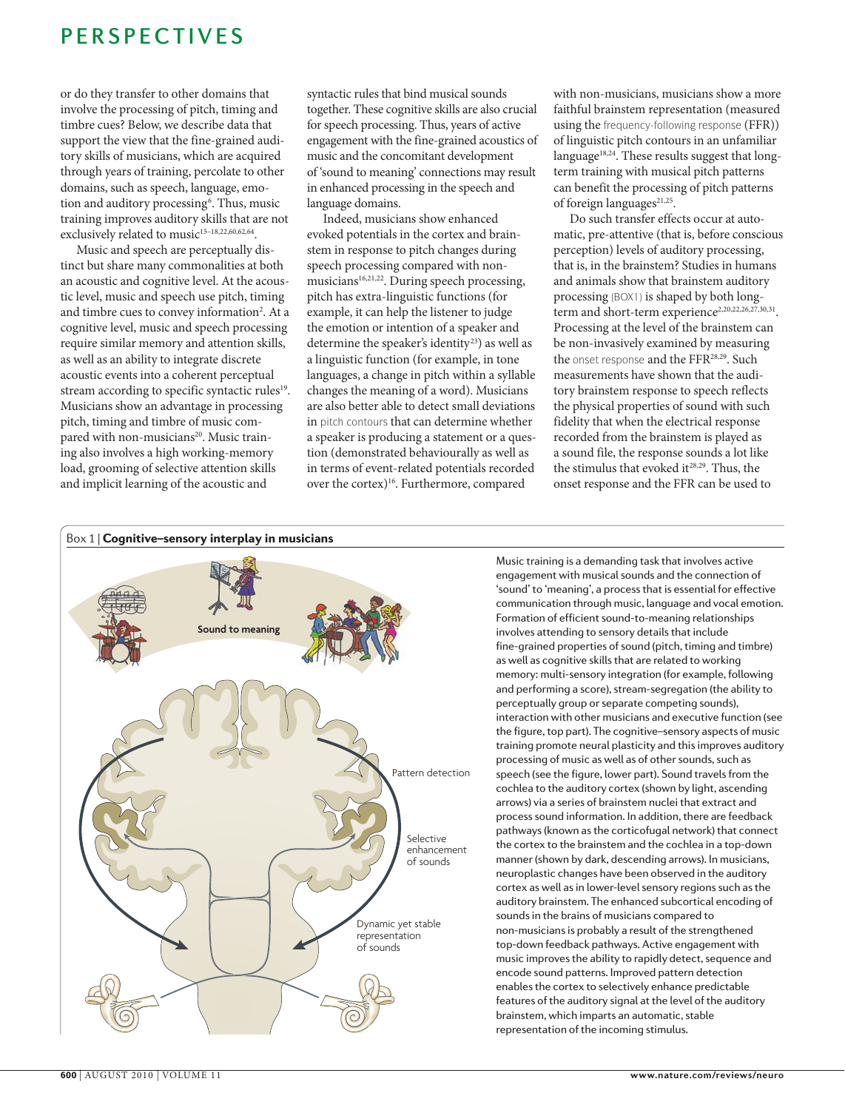or do they transfer to other domains that involve the processing of pitch, timing and timbre cues? Below, we describe data that support the view that the fine-grained auditory skills of musicians, which are acquired through years of training, percolate to other domains, such as speech, language, emotion and auditory processing<sup>6</sup>. Thus, music training improves auditory skills that are not exclusively related to music<sup>15-18,22,60,62,64</sup>.

Music and speech are perceptually distinct but share many commonalities at both an acoustic and cognitive level. At the acoustic level, music and speech use pitch, timing and timbre cues to convey information<sup>2</sup>. At a cognitive level, music and speech processing require similar memory and attention skills, as well as an ability to integrate discrete acoustic events into a coherent perceptual stream according to specific syntactic rules<sup>19</sup>. Musicians show an advantage in processing pitch, timing and timbre of music compared with non-musicians<sup>20</sup>. Music training also involves a high working-memory load, grooming of selective attention skills and implicit learning of the acoustic and

syntactic rules that bind musical sounds together. These cognitive skills are also crucial for speech processing. Thus, years of active engagement with the fine-grained acoustics of music and the concomitant development of 'sound to meaning' connections may result in enhanced processing in the speech and language domains.

Indeed, musicians show enhanced evoked potentials in the cortex and brainstem in response to pitch changes during speech processing compared with nonmusicians<sup>16,21,22</sup>. During speech processing, pitch has extra-linguistic functions (for example, it can help the listener to judge the emotion or intention of a speaker and determine the speaker's identity<sup>23</sup>) as well as a linguistic function (for example, in tone languages, a change in pitch within a syllable changes the meaning of a word). Musicians are also better able to detect small deviations in pitch contours that can determine whether a speaker is producing a statement or a question (demonstrated behaviourally as well as in terms of event-related potentials recorded over the cortex)16. Furthermore, compared

with non-musicians, musicians show a more faithful brainstem representation (measured using the frequency-following response (FFR)) of linguistic pitch contours in an unfamiliar language<sup>18,24</sup>. These results suggest that longterm training with musical pitch patterns can benefit the processing of pitch patterns of foreign languages<sup>21,25</sup>.

Do such transfer effects occur at automatic, pre-attentive (that is, before conscious perception) levels of auditory processing, that is, in the brainstem? Studies in humans and animals show that brainstem auditory processing (Box1) is shaped by both longterm and short-term experience<sup>2,20,22,26,27,30,31</sup>. Processing at the level of the brainstem can be non-invasively examined by measuring the onset response and the FFR<sup>28,29</sup>. Such measurements have shown that the auditory brainstem response to speech reflects the physical properties of sound with such fidelity that when the electrical response recorded from the brainstem is played as a sound file, the response sounds a lot like the stimulus that evoked it $28,29$ . Thus, the onset response and the FFR can be used to



Music training is a demanding task that involves active engagement with musical sounds and the connection of 'sound' to 'meaning', a process that is essential for effective communication through music, language and vocal emotion. Formation of efficient sound-to-meaning relationships involves attending to sensory details that include fine-grained properties of sound (pitch, timing and timbre) as well as cognitive skills that are related to working memory: multi-sensory integration (for example, following and performing a score), stream-segregation (the ability to perceptually group or separate competing sounds), interaction with other musicians and executive function (see the figure, top part). The cognitive–sensory aspects of music training promote neural plasticity and this improves auditory processing of music as well as of other sounds, such as speech (see the figure, lower part). Sound travels from the cochlea to the auditory cortex (shown by light, ascending arrows) via a series of brainstem nuclei that extract and process sound information. In addition, there are feedback pathways (known as the corticofugal network) that connect the cortex to the brainstem and the cochlea in a top-down manner (shown by dark, descending arrows). In musicians, neuroplastic changes have been observed in the auditory cortex as well as in lower-level sensory regions such as the auditory brainstem. The enhanced subcortical encoding of sounds in the brains of musicians compared to non-musicians is probably a result of the strengthened top-down feedback pathways. Active engagement with music improves the ability to rapidly detect, sequence and encode sound patterns. Improved pattern detection enables the cortex to selectively enhance predictable features of the auditory signal at the level of the auditory brainstem, which imparts an automatic, stable representation of the incoming stimulus.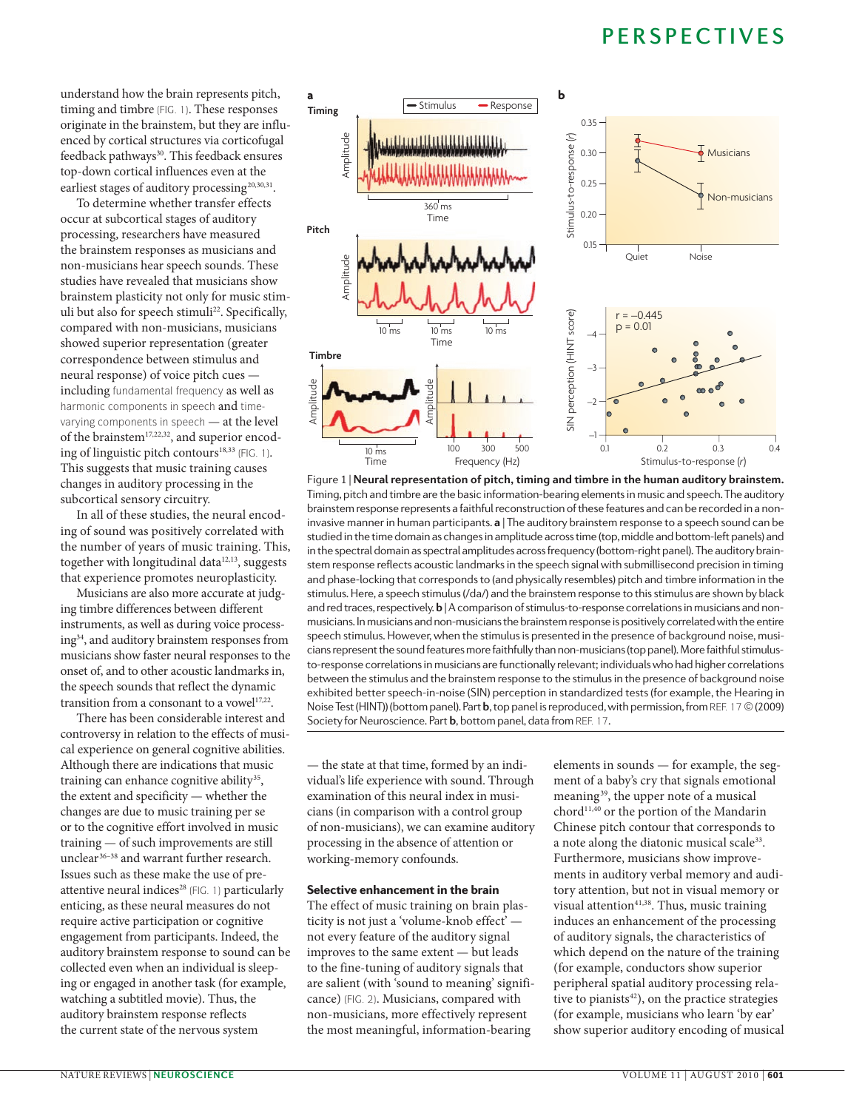understand how the brain represents pitch, timing and timbre (FIG. 1). These responses originate in the brainstem, but they are influenced by cortical structures via corticofugal feedback pathways<sup>30</sup>. This feedback ensures top-down cortical influences even at the earliest stages of auditory processing<sup>20,30,31</sup>.

To determine whether transfer effects occur at subcortical stages of auditory processing, researchers have measured the brainstem responses as musicians and non-musicians hear speech sounds. These studies have revealed that musicians show brainstem plasticity not only for music stimuli but also for speech stimuli<sup>22</sup>. Specifically, compared with non-musicians, musicians showed superior representation (greater correspondence between stimulus and neural response) of voice pitch cues including fundamental frequency as well as harmonic components in speech and timevarying components in speech — at the level of the brainstem17,22,32, and superior encoding of linguistic pitch contours<sup>18,33</sup> (FIG. 1). This suggests that music training causes changes in auditory processing in the subcortical sensory circuitry.

In all of these studies, the neural encoding of sound was positively correlated with the number of years of music training. This, together with longitudinal data<sup>12,13</sup>, suggests that experience promotes neuroplasticity.

Musicians are also more accurate at judging timbre differences between different instruments, as well as during voice processing34, and auditory brainstem responses from musicians show faster neural responses to the onset of, and to other acoustic landmarks in, the speech sounds that reflect the dynamic transition from a consonant to a vowel<sup>17,22</sup>.

There has been considerable interest and controversy in relation to the effects of musical experience on general cognitive abilities. Although there are indications that music training can enhance cognitive ability<sup>35</sup>, the extent and specificity — whether the changes are due to music training per se or to the cognitive effort involved in music training — of such improvements are still unclear<sup>36-38</sup> and warrant further research. Issues such as these make the use of preattentive neural indices<sup>28</sup> (FIG. 1) particularly enticing, as these neural measures do not require active participation or cognitive engagement from participants. Indeed, the auditory brainstem response to sound can be collected even when an individual is sleeping or engaged in another task (for example, watching a subtitled movie). Thus, the auditory brainstem response reflects the current state of the nervous system



**Nature Reviews** | **Neuroscience** brainstem responserepresents a faithful reconstruction of these features and can be recorded in a non-Figure 1 | **Neural representation of pitch, timing and timbre in the human auditory brainstem.**  Timing, pitch and timbre are the basic information-bearing elements in music and speech. The auditory invasive manner in human participants. **a** | The auditory brainstem response to a speech sound can be studied in the time domain as changes in amplitude across time (top, middle and bottom-left panels) and in the spectral domain as spectral amplitudes across frequency (bottom-right panel). The auditory brainstem response reflects acoustic landmarks in the speech signal with submillisecond precision in timing and phase-locking that corresponds to (and physically resembles) pitch and timbre information in the stimulus. Here, a speech stimulus (/da/) and the brainstem response to this stimulus are shown by black and red traces, respectively. **b** | A comparison of stimulus-to-response correlations in musicians and nonmusicians. In musicians and non-musicians the brainstem response is positively correlated with the entire speech stimulus. However, when the stimulus is presented in the presence of background noise, musicians represent the sound features more faithfully than non-musicians (top panel). More faithful stimulusto-response correlations in musicians are functionally relevant; individuals who had higher correlations between the stimulus and the brainstem response to the stimulus in the presence of background noise exhibited better speech-in-noise (SIN) perception in standardized tests (for example, the Hearing in Noise Test (HINT)) (bottom panel). Part **b**, top panel is reproduced, with permission, from REF. 17© (2009) Society for Neuroscience. Part **b**, bottom panel, data from REF. 17.

— the state at that time, formed by an individual's life experience with sound. Through examination of this neural index in musicians (in comparison with a control group of non-musicians), we can examine auditory processing in the absence of attention or working-memory confounds.

### Selective enhancement in the brain

The effect of music training on brain plasticity is not just a 'volume-knob effect' not every feature of the auditory signal improves to the same extent — but leads to the fine-tuning of auditory signals that are salient (with 'sound to meaning' significance) (FIG. 2). Musicians, compared with non-musicians, more effectively represent the most meaningful, information-bearing

elements in sounds — for example, the segment of a baby's cry that signals emotional meaning<sup>39</sup>, the upper note of a musical chord<sup>11,40</sup> or the portion of the Mandarin Chinese pitch contour that corresponds to a note along the diatonic musical scale<sup>33</sup>. Furthermore, musicians show improvements in auditory verbal memory and auditory attention, but not in visual memory or visual attention<sup>41,38</sup>. Thus, music training induces an enhancement of the processing of auditory signals, the characteristics of which depend on the nature of the training (for example, conductors show superior peripheral spatial auditory processing relative to pianists<sup>42</sup>), on the practice strategies (for example, musicians who learn 'by ear' show superior auditory encoding of musical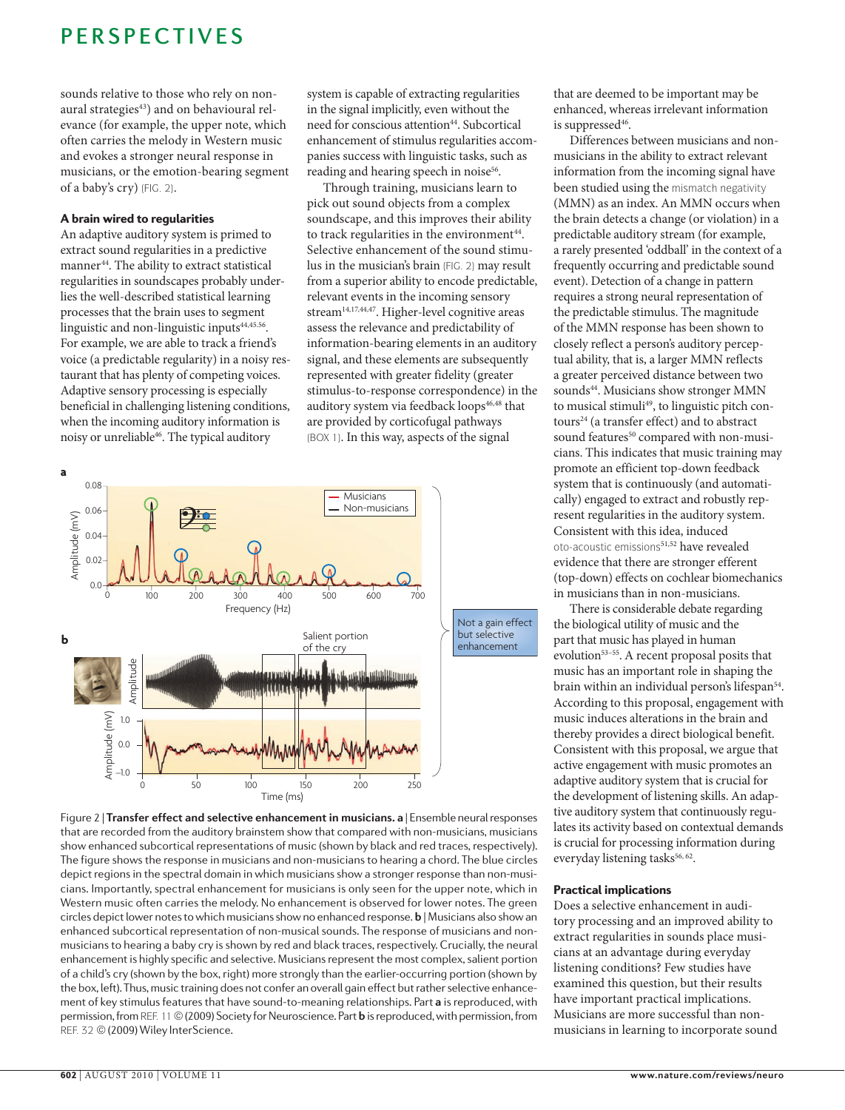sounds relative to those who rely on nonaural strategies<sup>43</sup>) and on behavioural relevance (for example, the upper note, which often carries the melody in Western music and evokes a stronger neural response in musicians, or the emotion-bearing segment of a baby's cry) (FIG. 2).

### A brain wired to regularities

An adaptive auditory system is primed to extract sound regularities in a predictive manner<sup>44</sup>. The ability to extract statistical regularities in soundscapes probably underlies the well-described statistical learning processes that the brain uses to segment linguistic and non-linguistic inputs $44,45.56$ . For example, we are able to track a friend's voice (a predictable regularity) in a noisy restaurant that has plenty of competing voices. Adaptive sensory processing is especially beneficial in challenging listening conditions, when the incoming auditory information is noisy or unreliable46. The typical auditory

system is capable of extracting regularities in the signal implicitly, even without the need for conscious attention<sup>44</sup>. Subcortical enhancement of stimulus regularities accompanies success with linguistic tasks, such as reading and hearing speech in noise<sup>56</sup>.

Through training, musicians learn to pick out sound objects from a complex soundscape, and this improves their ability to track regularities in the environment<sup>44</sup>. Selective enhancement of the sound stimulus in the musician's brain (FIG. 2) may result from a superior ability to encode predictable, relevant events in the incoming sensory stream14,17,44,47. Higher-level cognitive areas assess the relevance and predictability of information-bearing elements in an auditory signal, and these elements are subsequently represented with greater fidelity (greater stimulus-to-response correspondence) in the auditory system via feedback loops<sup>46,48</sup> that are provided by corticofugal pathways (BOX 1). In this way, aspects of the signal



that are recorded from the auditory brainstem show that compared with non-musicians, musicians Figure 2 | **Transfer effect and selective enhancement in musicians. a** | Ensemble neural responses show enhanced subcortical representations of music (shown by black and red traces, respectively). The figure shows the response in musicians and non-musicians to hearing a chord. The blue circles depict regions in the spectral domain in which musicians show a stronger response than non-musicians. Importantly, spectral enhancement for musicians is only seen for the upper note, which in Western music often carries the melody. No enhancement is observed for lower notes. The green circles depict lower notes to which musicians show no enhanced response. **b** | Musicians also show an enhanced subcortical representation of non-musical sounds. The response of musicians and nonmusicians to hearing a baby cry is shown by red and black traces, respectively. Crucially, the neural enhancement is highly specific and selective. Musicians represent the most complex, salient portion of a child's cry (shown by the box, right) more strongly than the earlier-occurring portion (shown by the box, left). Thus, music training does not confer an overall gain effect but rather selective enhancement of key stimulus features that have sound-to-meaning relationships. Part **a** is reproduced, with permission, from REF. 11© (2009) Society for Neuroscience. Part **b** is reproduced, with permission, from REF. 32 © (2009) Wiley InterScience.

that are deemed to be important may be enhanced, whereas irrelevant information is suppressed<sup>46</sup>.

Differences between musicians and nonmusicians in the ability to extract relevant information from the incoming signal have been studied using the mismatch negativity (MMN) as an index. An MMN occurs when the brain detects a change (or violation) in a predictable auditory stream (for example, a rarely presented 'oddball' in the context of a frequently occurring and predictable sound event). Detection of a change in pattern requires a strong neural representation of the predictable stimulus. The magnitude of the MMN response has been shown to closely reflect a person's auditory perceptual ability, that is, a larger MMN reflects a greater perceived distance between two sounds<sup>44</sup>. Musicians show stronger MMN to musical stimuli<sup>49</sup>, to linguistic pitch contours<sup>24</sup> (a transfer effect) and to abstract sound features<sup>50</sup> compared with non-musicians. This indicates that music training may promote an efficient top-down feedback system that is continuously (and automatically) engaged to extract and robustly represent regularities in the auditory system. Consistent with this idea, induced oto-acoustic emissions<sup>51,52</sup> have revealed evidence that there are stronger efferent (top-down) effects on cochlear biomechanics in musicians than in non-musicians.

There is considerable debate regarding the biological utility of music and the part that music has played in human evolution<sup>53-55</sup>. A recent proposal posits that music has an important role in shaping the brain within an individual person's lifespan<sup>54</sup>. According to this proposal, engagement with music induces alterations in the brain and thereby provides a direct biological benefit. Consistent with this proposal, we argue that active engagement with music promotes an adaptive auditory system that is crucial for the development of listening skills. An adaptive auditory system that continuously regulates its activity based on contextual demands is crucial for processing information during everyday listening tasks<sup>56, 62</sup>.

### Practical implications

Does a selective enhancement in auditory processing and an improved ability to extract regularities in sounds place musicians at an advantage during everyday listening conditions? Few studies have examined this question, but their results have important practical implications. Musicians are more successful than nonmusicians in learning to incorporate sound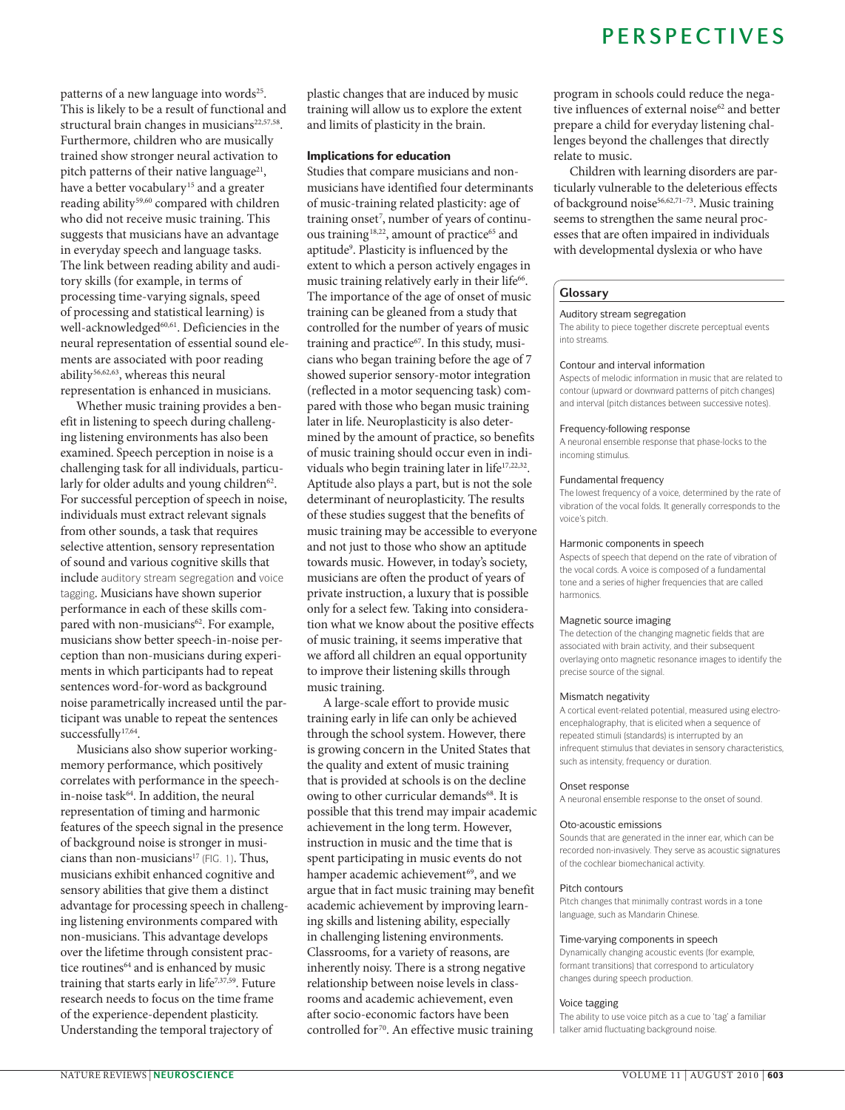patterns of a new language into words<sup>25</sup>. This is likely to be a result of functional and structural brain changes in musicians<sup>22,57,58</sup>. Furthermore, children who are musically trained show stronger neural activation to pitch patterns of their native language<sup>21</sup>, have a better vocabulary<sup>15</sup> and a greater reading ability<sup>59,60</sup> compared with children who did not receive music training. This suggests that musicians have an advantage in everyday speech and language tasks. The link between reading ability and auditory skills (for example, in terms of processing time-varying signals, speed of processing and statistical learning) is well-acknowledged<sup>60,61</sup>. Deficiencies in the neural representation of essential sound elements are associated with poor reading ability56,62,63, whereas this neural representation is enhanced in musicians.

Whether music training provides a benefit in listening to speech during challenging listening environments has also been examined. Speech perception in noise is a challenging task for all individuals, particularly for older adults and young children<sup>62</sup>. For successful perception of speech in noise, individuals must extract relevant signals from other sounds, a task that requires selective attention, sensory representation of sound and various cognitive skills that include auditory stream segregation and voice tagging. Musicians have shown superior performance in each of these skills compared with non-musicians<sup>62</sup>. For example, musicians show better speech-in-noise perception than non-musicians during experiments in which participants had to repeat sentences word-for-word as background noise parametrically increased until the participant was unable to repeat the sentences successfully<sup>17,64</sup>.

Musicians also show superior workingmemory performance, which positively correlates with performance in the speechin-noise task<sup>64</sup>. In addition, the neural representation of timing and harmonic features of the speech signal in the presence of background noise is stronger in musicians than non-musicians $17$  (FIG. 1). Thus, musicians exhibit enhanced cognitive and sensory abilities that give them a distinct advantage for processing speech in challenging listening environments compared with non-musicians. This advantage develops over the lifetime through consistent practice routines<sup>64</sup> and is enhanced by music training that starts early in life<sup>7,37,59</sup>. Future research needs to focus on the time frame of the experience-dependent plasticity. Understanding the temporal trajectory of

plastic changes that are induced by music training will allow us to explore the extent and limits of plasticity in the brain.

### Implications for education

Studies that compare musicians and nonmusicians have identified four determinants of music-training related plasticity: age of training onset<sup>7</sup>, number of years of continuous training<sup>18,22</sup>, amount of practice<sup>65</sup> and aptitude<sup>9</sup>. Plasticity is influenced by the extent to which a person actively engages in music training relatively early in their life<sup>66</sup>. The importance of the age of onset of music training can be gleaned from a study that controlled for the number of years of music training and practice<sup>67</sup>. In this study, musicians who began training before the age of 7 showed superior sensory-motor integration (reflected in a motor sequencing task) compared with those who began music training later in life. Neuroplasticity is also determined by the amount of practice, so benefits of music training should occur even in individuals who begin training later in life<sup>17,22,32</sup>. Aptitude also plays a part, but is not the sole determinant of neuroplasticity. The results of these studies suggest that the benefits of music training may be accessible to everyone and not just to those who show an aptitude towards music*.* However, in today's society, musicians are often the product of years of private instruction, a luxury that is possible only for a select few. Taking into consideration what we know about the positive effects of music training, it seems imperative that we afford all children an equal opportunity to improve their listening skills through music training.

A large-scale effort to provide music training early in life can only be achieved through the school system. However, there is growing concern in the United States that the quality and extent of music training that is provided at schools is on the decline owing to other curricular demands<sup>68</sup>. It is possible that this trend may impair academic achievement in the long term. However, instruction in music and the time that is spent participating in music events do not hamper academic achievement<sup>69</sup>, and we argue that in fact music training may benefit academic achievement by improving learning skills and listening ability, especially in challenging listening environments. Classrooms, for a variety of reasons, are inherently noisy. There is a strong negative relationship between noise levels in classrooms and academic achievement, even after socio-economic factors have been controlled for<sup>70</sup>. An effective music training

program in schools could reduce the negative influences of external noise<sup>62</sup> and better prepare a child for everyday listening challenges beyond the challenges that directly relate to music.

Children with learning disorders are particularly vulnerable to the deleterious effects of background noise<sup>56,62,71-73</sup>. Music training seems to strengthen the same neural processes that are often impaired in individuals with developmental dyslexia or who have

### **Glossary**

### Auditory stream segregation

The ability to piece together discrete perceptual events into streams.

#### Contour and interval information

Aspects of melodic information in music that are related to contour (upward or downward patterns of pitch changes) and interval (pitch distances between successive notes).

#### Frequency-following response

A neuronal ensemble response that phase-locks to the incoming stimulus.

#### Fundamental frequency

The lowest frequency of a voice, determined by the rate of vibration of the vocal folds. It generally corresponds to the voice's pitch.

#### Harmonic components in speech

Aspects of speech that depend on the rate of vibration of the vocal cords. A voice is composed of a fundamental tone and a series of higher frequencies that are called harmonics.

#### Magnetic source imaging

The detection of the changing magnetic fields that are associated with brain activity, and their subsequent overlaying onto magnetic resonance images to identify the precise source of the signal.

#### Mismatch negativity

A cortical event-related potential, measured using electroencephalography, that is elicited when a sequence of repeated stimuli (standards) is interrupted by an infrequent stimulus that deviates in sensory characteristics, such as intensity, frequency or duration.

## Onset response

A neuronal ensemble response to the onset of sound.

#### Oto-acoustic emissions

Sounds that are generated in the inner ear, which can be recorded non-invasively. They serve as acoustic signatures of the cochlear biomechanical activity.

#### Pitch contours

Pitch changes that minimally contrast words in a tone language, such as Mandarin Chinese.

#### Time-varying components in speech

Dynamically changing acoustic events (for example, formant transitions) that correspond to articulatory changes during speech production.

#### Voice tagging

The ability to use voice pitch as a cue to 'tag' a familiar talker amid fluctuating background noise.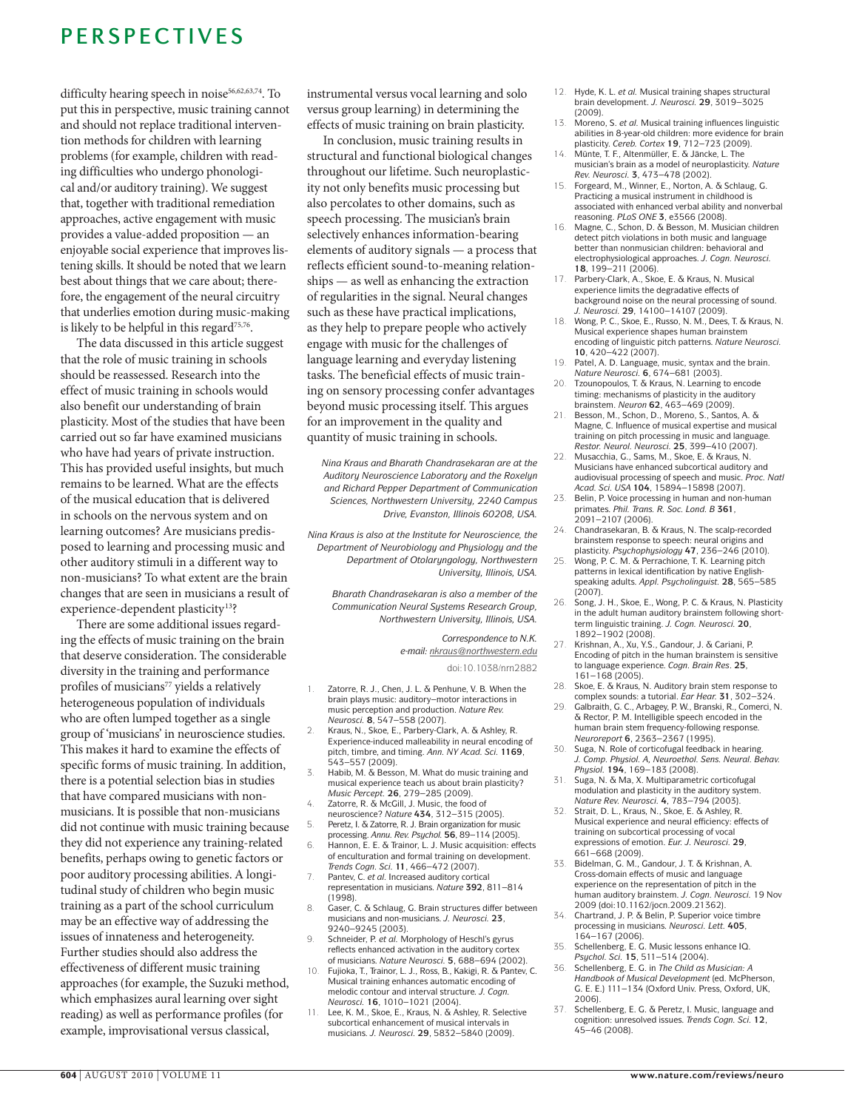difficulty hearing speech in noise<sup>56,62,63,74</sup>. To put this in perspective, music training cannot and should not replace traditional intervention methods for children with learning problems (for example, children with reading difficulties who undergo phonological and/or auditory training). We suggest that, together with traditional remediation approaches, active engagement with music provides a value-added proposition — an enjoyable social experience that improves listening skills. It should be noted that we learn best about things that we care about; therefore, the engagement of the neural circuitry that underlies emotion during music-making is likely to be helpful in this regard $75,76$ .

The data discussed in this article suggest that the role of music training in schools should be reassessed. Research into the effect of music training in schools would also benefit our understanding of brain plasticity. Most of the studies that have been carried out so far have examined musicians who have had years of private instruction. This has provided useful insights, but much remains to be learned. What are the effects of the musical education that is delivered in schools on the nervous system and on learning outcomes? Are musicians predisposed to learning and processing music and other auditory stimuli in a different way to non-musicians? To what extent are the brain changes that are seen in musicians a result of experience-dependent plasticity<sup>13</sup>?

There are some additional issues regarding the effects of music training on the brain that deserve consideration. The considerable diversity in the training and performance profiles of musicians<sup>77</sup> yields a relatively heterogeneous population of individuals who are often lumped together as a single group of 'musicians' in neuroscience studies. This makes it hard to examine the effects of specific forms of music training. In addition, there is a potential selection bias in studies that have compared musicians with nonmusicians. It is possible that non-musicians did not continue with music training because they did not experience any training-related benefits, perhaps owing to genetic factors or poor auditory processing abilities. A longitudinal study of children who begin music training as a part of the school curriculum may be an effective way of addressing the issues of innateness and heterogeneity. Further studies should also address the effectiveness of different music training approaches (for example, the Suzuki method, which emphasizes aural learning over sight reading) as well as performance profiles (for example, improvisational versus classical,

instrumental versus vocal learning and solo versus group learning) in determining the effects of music training on brain plasticity.

In conclusion, music training results in structural and functional biological changes throughout our lifetime. Such neuroplasticity not only benefits music processing but also percolates to other domains, such as speech processing. The musician's brain selectively enhances information-bearing elements of auditory signals — a process that reflects efficient sound-to-meaning relationships — as well as enhancing the extraction of regularities in the signal. Neural changes such as these have practical implications, as they help to prepare people who actively engage with music for the challenges of language learning and everyday listening tasks. The beneficial effects of music training on sensory processing confer advantages beyond music processing itself. This argues for an improvement in the quality and quantity of music training in schools.

*Nina Kraus and Bharath Chandrasekaran are at the Auditory Neuroscience Laboratory and the Roxelyn and Richard Pepper Department of Communication Sciences, Northwestern University, 2240 Campus Drive, Evanston, Illinois 60208, USA.* 

*Nina Kraus is also at the Institute for Neuroscience, the Department of Neurobiology and Physiology and the Department of Otolaryngology, Northwestern University, Illinois, USA.* 

*Bharath Chandrasekaran is also a member of the Communication Neural Systems Research Group, Northwestern University, Illinois, USA.*

*Correspondence to N.K.*

*e-mail: [nkraus@northwestern.edu](mailto:nkraus@northwestern.edu)* doi:10.1038/nrn2882

- 1. Zatorre, R. J., Chen, J. L. & Penhune, V. B. When the brain plays music: auditory–motor interactions in music perception and production. *Nature Rev. Neurosci.* **8**, 547–558 (2007).
- 2. Kraus, N., Skoe, E., Parbery-Clark, A. & Ashley, R. Experience-induced malleability in neural encoding of pitch, timbre, and timing. *Ann. NY Acad. Sci.* **1169**, 543–557 (2009).
- Habib, M. & Besson, M. What do music training and musical experience teach us about brain plasticity? *Music Percept.* **26**, 279–285 (2009).
- 4. Zatorre, R. & McGill, J. Music, the food of neuroscience? *Nature* **434**, 312–315 (2005).
- 5. Peretz, I. & Zatorre, R. J. Brain organization for music processing. *Annu. Rev. Psychol.* **56**, 89–114 (2005).
- 6. Hannon, E. E. & Trainor, L. J. Music acquisition: effects of enculturation and formal training on development. *Trends Cogn. Sci.* **11**, 466–472 (2007).
- Pantev, C. et al. Increased auditory cortical representation in musicians. *Nature* **392**, 811–814 (1998).
- 8. Gaser, C. & Schlaug, G. Brain structures differ between musicians and non-musicians. *J. Neurosci.* **23**, 9240–9245 (2003).
- 9. Schneider, P. *et al.* Morphology of Heschl's gyrus reflects enhanced activation in the auditory cortex of musicians. *Nature Neurosci.* **5**, 688–694 (2002).
- 10. Fujioka, T., Trainor, L. J., Ross, B., Kakigi, R. & Pantev, C. Musical training enhances automatic encoding of melodic contour and interval structure. *J. Cogn. Neurosci.* **16**, 1010–1021 (2004).
- 11. Lee, K. M., Skoe, E., Kraus, N. & Ashley, R. Selective subcortical enhancement of musical intervals in musicians. *J. Neurosci.* **29**, 5832–5840 (2009).
- 12. Hyde, K. L. *et al.* Musical training shapes structural brain development. *J. Neurosci.* **29**, 3019–3025 (2009).
- 13. Moreno, S. *et al.* Musical training influences linguistic abilities in 8‑year‑old children: more evidence for brain plasticity. *Cereb. Cortex* **19**, 712–723 (2009).
- 14. Münte, T. F., Altenmüller, E. & Jäncke, L. The musician's brain as a model of neuroplasticity. *Nature Rev. Neurosci.* **3**, 473–478 (2002).
- 15. Forgeard, M., Winner, E., Norton, A. & Schlaug, G. Practicing a musical instrument in childhood is associated with enhanced verbal ability and nonverbal reasoning. *PLoS ONE* **3**, e3566 (2008).
- 16. Magne, C., Schon, D. & Besson, M. Musician children detect pitch violations in both music and language better than nonmusician children: behavioral and electrophysiological approaches. *J. Cogn. Neurosci.* **18**, 199–211 (2006).
- 17. Parbery-Clark, A., Skoe, E. & Kraus, N. Musical experience limits the degradative effects of background noise on the neural processing of sound. *J. Neurosci.* **29**, 14100–14107 (2009).
- 18. Wong, P. C., Skoe, E., Russo, N. M., Dees, T. & Kraus, N. Musical experience shapes human brainstem encoding of linguistic pitch patterns. *Nature Neurosci.* **10**, 420–422 (2007).
- Patel, A. D. Language, music, syntax and the brain *Nature Neurosci.* **6**, 674–681 (2003).
- 20. Tzounopoulos, T. & Kraus, N. Learning to encode timing: mechanisms of plasticity in the auditory brainstem. *Neuron* **62**, 463–469 (2009). 21. Besson, M., Schon, D., Moreno, S., Santos, A. &
- Magne, C. Influence of musical expertise and musical training on pitch processing in music and language. *Restor. Neurol. Neurosci.* **25**, 399–410 (2007).
- 22. Musacchia, G., Sams, M., Skoe, E. & Kraus, N. Musicians have enhanced subcortical auditory and audiovisual processing of speech and music. *Proc. Natl Acad. Sci. USA* **104**, 15894–15898 (2007).
- 23. Belin, P. Voice processing in human and non-human primates. *Phil. Trans. R. Soc. Lond. B* **361**, 2091–2107 (2006).
- 24. Chandrasekaran, B. & Kraus, N. The scalp-recorded brainstem response to speech: neural origins and plasticity. *Psychophysiology* **47**, 236–246 (2010).
- 25. Wong, P. C. M. & Perrachione, T. K. Learning pitch patterns in lexical identification by native English-speaking adults. *Appl. Psycholinguist.* **28**, 565–585  $(2007)$ .
- 26. Song, J. H., Skoe, E., Wong, P. C. & Kraus, N. Plasticity in the adult human auditory brainstem following shortterm linguistic training. *J. Cogn. Neurosci.* **20**, 1892–1902 (2008).
- 27. Krishnan, A., Xu, Y.S., Gandour, J. & Cariani, P. Encoding of pitch in the human brainstem is sensitive to language experience. *Cogn. Brain Res*. **25**, 161–168 (2005).
- 28. Skoe, E. & Kraus, N. Auditory brain stem response to complex sounds: a tutorial. *Ear Hear.* **31**, 302–324.
- Galbraith, G. C., Arbagey, P. W., Branski, R., Comerci, N. & Rector, P. M. Intelligible speech encoded in the human brain stem frequency-following response. *Neuroreport* **6**, 2363–2367 (1995).
- 30. Suga, N. Role of corticofugal feedback in hearing. *J. Comp. Physiol. A, Neuroethol. Sens. Neural. Behav. Physiol.* **194**, 169–183 (2008).
- Suga, N. & Ma, X. Multiparametric corticofuga modulation and plasticity in the auditory system. *Nature Rev. Neurosci.* **4**, 783–794 (2003). 32. Strait, D. L., Kraus, N., Skoe, E. & Ashley, R.
- Musical experience and neural efficiency: effects of training on subcortical processing of vocal expressions of emotion. *Eur. J. Neurosci.* **29**, 661–668 (2009).
- 33. Bidelman, G. M., Gandour, J. T. & Krishnan, A. Cross-domain effects of music and language experience on the representation of pitch in the human auditory brainstem. *J. Cogn. Neurosci.* 19 Nov 2009 (doi:10.1162/jocn.2009.21362).
- 34. Chartrand, J. P. & Belin, P. Superior voice timbre processing in musicians. *Neurosci. Lett.* **405**, 164–167 (2006).
- 35. Schellenberg, E. G. Music lessons enhance IQ. *Psychol. Sci.* **15**, 511–514 (2004).
- 36. Schellenberg, E. G. in *The Child as Musician: A Handbook of Musical Development* (ed. McPherson, G. E. E.) 111–134 (Oxford Univ. Press, Oxford, UK, 2006).
- 37. Schellenberg, E. G. & Peretz, I. Music, language and cognition: unresolved issues. *Trends Cogn. Sci.* **12**, 45–46 (2008).